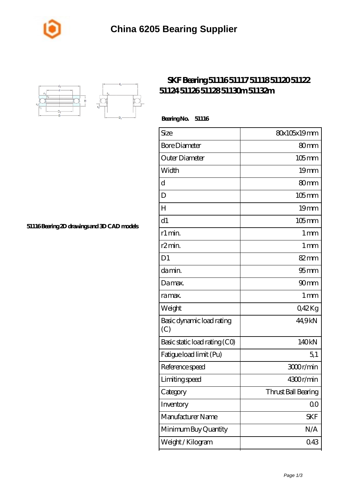



## **[SKF Bearing 51116 51117 51118 51120 51122](https://m.johnny-light.com/skf-51104-bearing/skf-51116/) [51124 51126 51128 51130m 51132m](https://m.johnny-light.com/skf-51104-bearing/skf-51116/)**

 **Bearing No. 51116**

| Size                             | 80x105x19mm         |
|----------------------------------|---------------------|
| <b>Bore Diameter</b>             | 80 <sub>mm</sub>    |
| Outer Diameter                   | $105$ mm            |
| Width                            | 19 <sub>mm</sub>    |
| d                                | 80mm                |
| D                                | $105$ mm            |
| H                                | 19mm                |
| d1                               | $105$ mm            |
| r1 min.                          | $1 \,\mathrm{mm}$   |
| r <sub>2</sub> min.              | $1 \,\mathrm{mm}$   |
| D <sub>1</sub>                   | 82mm                |
| da min.                          | 95 <sub>mm</sub>    |
| Damax.                           | 90 <sub>mm</sub>    |
| ra max.                          | 1 <sub>mm</sub>     |
| Weight                           | Q42Kg               |
| Basic dynamic load rating<br>(C) | 44,9kN              |
| Basic static load rating (CO)    | 140kN               |
| Fatigue load limit (Pu)          | 5,1                 |
| Reference speed                  | 3000r/min           |
| Limiting speed                   | 4300r/min           |
| Category                         | Thrust Ball Bearing |
| Inventory                        | 0 <sub>0</sub>      |
| Manufacturer Name                | <b>SKF</b>          |
| Minimum Buy Quantity             | N/A                 |
| Weight /Kilogram                 | 043                 |

**[51116 Bearing 2D drawings and 3D CAD models](https://m.johnny-light.com/pic-623909.html)**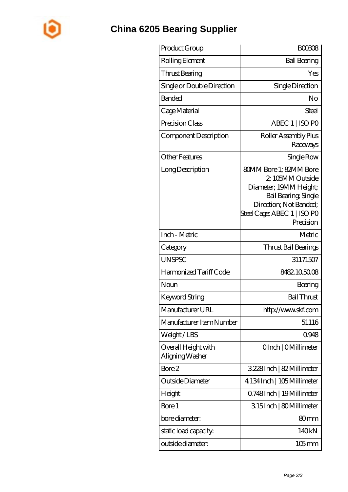

## **[China 6205 Bearing Supplier](https://m.johnny-light.com)**

| Product Group                          | <b>BOO308</b>                                                                                                                                                                    |
|----------------------------------------|----------------------------------------------------------------------------------------------------------------------------------------------------------------------------------|
| Rolling Element                        | <b>Ball Bearing</b>                                                                                                                                                              |
| Thrust Bearing                         | Yes                                                                                                                                                                              |
| Single or Double Direction             | Single Direction                                                                                                                                                                 |
| Banded                                 | No                                                                                                                                                                               |
| Cage Material                          | Steel                                                                                                                                                                            |
| Precision Class                        | ABEC 1   ISO PO                                                                                                                                                                  |
| Component Description                  | Roller Assembly Plus<br>Raceways                                                                                                                                                 |
| <b>Other Features</b>                  | Single Row                                                                                                                                                                       |
| Long Description                       | <b>80MM Bore 1: 82MM Bore</b><br>2, 105MM Outside<br>Diameter; 19MM Height;<br><b>Ball Bearing, Single</b><br>Direction; Not Banded;<br>Steel Cage; ABEC 1   ISO PO<br>Precision |
| Inch - Metric                          | Metric                                                                                                                                                                           |
| Category                               | Thrust Ball Bearings                                                                                                                                                             |
| <b>UNSPSC</b>                          | 31171507                                                                                                                                                                         |
| Harmonized Tariff Code                 | 8482105008                                                                                                                                                                       |
| Noun                                   | Bearing                                                                                                                                                                          |
| <b>Keyword String</b>                  | <b>Ball Thrust</b>                                                                                                                                                               |
| Manufacturer URL                       | http://www.skf.com                                                                                                                                                               |
| Manufacturer Item Number               | 51116                                                                                                                                                                            |
| Weight/LBS                             | 0948                                                                                                                                                                             |
| Overall Height with<br>Aligning Washer | OInch   OMillimeter                                                                                                                                                              |
| Bore 2                                 | 3228Inch   82 Millimeter                                                                                                                                                         |
| Outside Diameter                       | 4.134 Inch   105 Millimeter                                                                                                                                                      |
| Height                                 | 0.748Inch   19 Millimeter                                                                                                                                                        |
| Bore 1                                 | 315Inch   80Millimeter                                                                                                                                                           |
| bore diameter:                         | 80 <sub>mm</sub>                                                                                                                                                                 |
| static load capacity.                  | 140kN                                                                                                                                                                            |
| outside diameter:                      | 105 mm                                                                                                                                                                           |